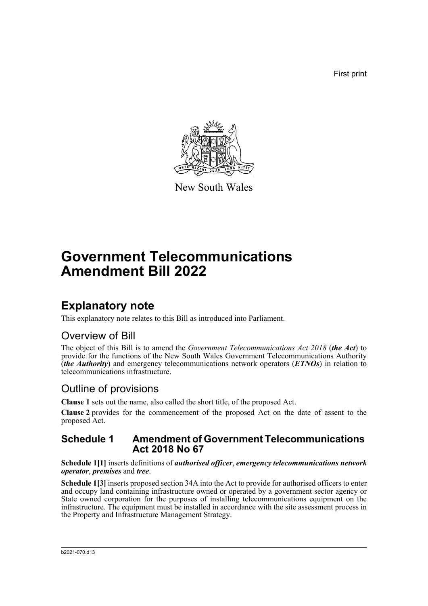First print



New South Wales

# **Government Telecommunications Amendment Bill 2022**

# **Explanatory note**

This explanatory note relates to this Bill as introduced into Parliament.

### Overview of Bill

The object of this Bill is to amend the *Government Telecommunications Act 2018* (*the Act*) to provide for the functions of the New South Wales Government Telecommunications Authority (*the Authority*) and emergency telecommunications network operators (*ETNOs*) in relation to telecommunications infrastructure.

## Outline of provisions

**Clause 1** sets out the name, also called the short title, of the proposed Act.

**Clause 2** provides for the commencement of the proposed Act on the date of assent to the proposed Act.

#### **Schedule 1 Amendment of Government Telecommunications Act 2018 No 67**

**Schedule 1[1]** inserts definitions of *authorised officer*, *emergency telecommunications network operator*, *premises* and *tree*.

**Schedule 1[3]** inserts proposed section 34A into the Act to provide for authorised officers to enter and occupy land containing infrastructure owned or operated by a government sector agency or State owned corporation for the purposes of installing telecommunications equipment on the infrastructure. The equipment must be installed in accordance with the site assessment process in the Property and Infrastructure Management Strategy.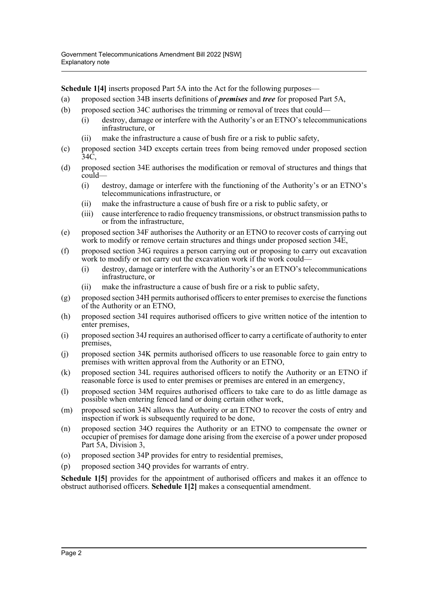**Schedule 1[4]** inserts proposed Part 5A into the Act for the following purposes—

- (a) proposed section 34B inserts definitions of *premises* and *tree* for proposed Part 5A,
- (b) proposed section 34C authorises the trimming or removal of trees that could—
	- (i) destroy, damage or interfere with the Authority's or an ETNO's telecommunications infrastructure, or
	- (ii) make the infrastructure a cause of bush fire or a risk to public safety,
- (c) proposed section 34D excepts certain trees from being removed under proposed section 34C,
- (d) proposed section 34E authorises the modification or removal of structures and things that could—
	- (i) destroy, damage or interfere with the functioning of the Authority's or an ETNO's telecommunications infrastructure, or
	- (ii) make the infrastructure a cause of bush fire or a risk to public safety, or
	- (iii) cause interference to radio frequency transmissions, or obstruct transmission paths to or from the infrastructure,
- (e) proposed section 34F authorises the Authority or an ETNO to recover costs of carrying out work to modify or remove certain structures and things under proposed section 34E,
- (f) proposed section 34G requires a person carrying out or proposing to carry out excavation work to modify or not carry out the excavation work if the work could—
	- (i) destroy, damage or interfere with the Authority's or an ETNO's telecommunications infrastructure, or
	- (ii) make the infrastructure a cause of bush fire or a risk to public safety,
- (g) proposed section 34H permits authorised officers to enter premises to exercise the functions of the Authority or an ETNO,
- (h) proposed section 34I requires authorised officers to give written notice of the intention to enter premises,
- (i) proposed section 34J requires an authorised officer to carry a certificate of authority to enter premises,
- (j) proposed section 34K permits authorised officers to use reasonable force to gain entry to premises with written approval from the Authority or an ETNO,
- (k) proposed section 34L requires authorised officers to notify the Authority or an ETNO if reasonable force is used to enter premises or premises are entered in an emergency,
- (l) proposed section 34M requires authorised officers to take care to do as little damage as possible when entering fenced land or doing certain other work,
- (m) proposed section 34N allows the Authority or an ETNO to recover the costs of entry and inspection if work is subsequently required to be done,
- (n) proposed section 34O requires the Authority or an ETNO to compensate the owner or occupier of premises for damage done arising from the exercise of a power under proposed Part 5A, Division 3,
- (o) proposed section 34P provides for entry to residential premises,
- (p) proposed section 34Q provides for warrants of entry.

**Schedule 1[5]** provides for the appointment of authorised officers and makes it an offence to obstruct authorised officers. **Schedule 1[2]** makes a consequential amendment.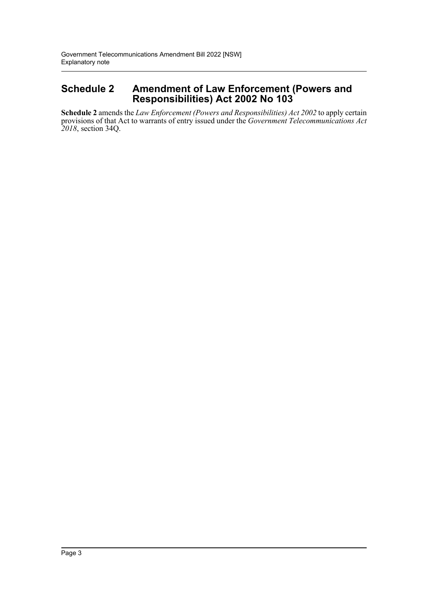### **Schedule 2 Amendment of Law Enforcement (Powers and Responsibilities) Act 2002 No 103**

**Schedule 2** amends the *Law Enforcement (Powers and Responsibilities) Act 2002* to apply certain provisions of that Act to warrants of entry issued under the *Government Telecommunications Act 2018*, section 34Q.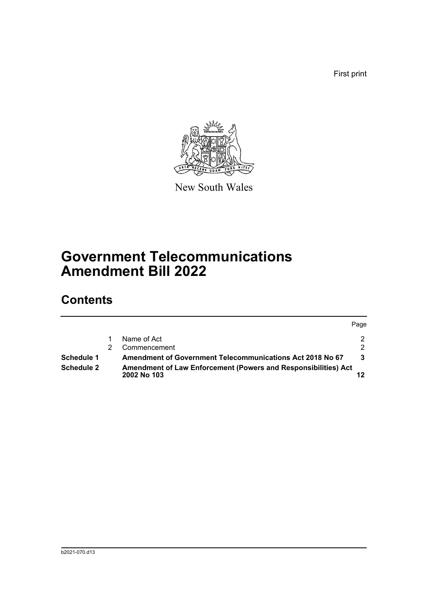First print



New South Wales

# **Government Telecommunications Amendment Bill 2022**

# **Contents**

|                   |                                                                                      | Page          |
|-------------------|--------------------------------------------------------------------------------------|---------------|
|                   | Name of Act                                                                          | 2             |
|                   | Commencement                                                                         | $\mathcal{P}$ |
| Schedule 1        | <b>Amendment of Government Telecommunications Act 2018 No 67</b>                     | 3             |
| <b>Schedule 2</b> | <b>Amendment of Law Enforcement (Powers and Responsibilities) Act</b><br>2002 No 103 |               |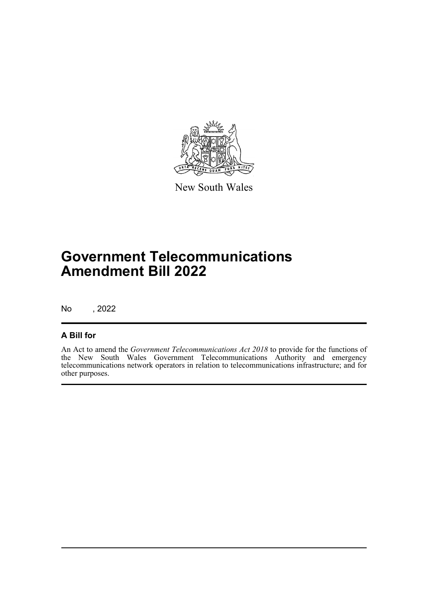

New South Wales

# **Government Telecommunications Amendment Bill 2022**

No , 2022

#### **A Bill for**

An Act to amend the *Government Telecommunications Act 2018* to provide for the functions of the New South Wales Government Telecommunications Authority and emergency telecommunications network operators in relation to telecommunications infrastructure; and for other purposes.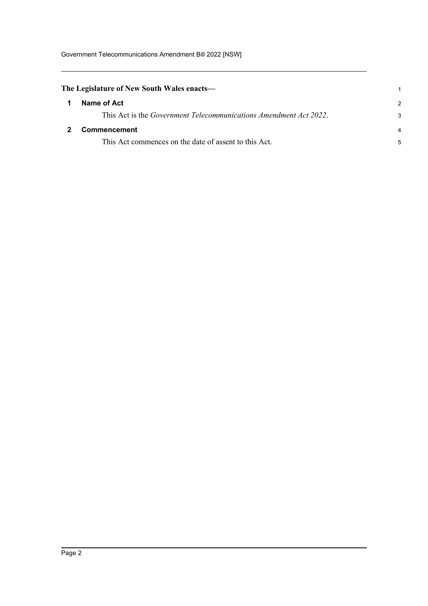<span id="page-5-1"></span><span id="page-5-0"></span>

| The Legislature of New South Wales enacts—                                |                |  |  |  |
|---------------------------------------------------------------------------|----------------|--|--|--|
| Name of Act                                                               | $\mathcal{P}$  |  |  |  |
| This Act is the <i>Government Telecommunications Amendment Act 2022</i> . | 3              |  |  |  |
| Commencement                                                              | $\overline{4}$ |  |  |  |
| This Act commences on the date of assent to this Act.                     | 5              |  |  |  |
|                                                                           |                |  |  |  |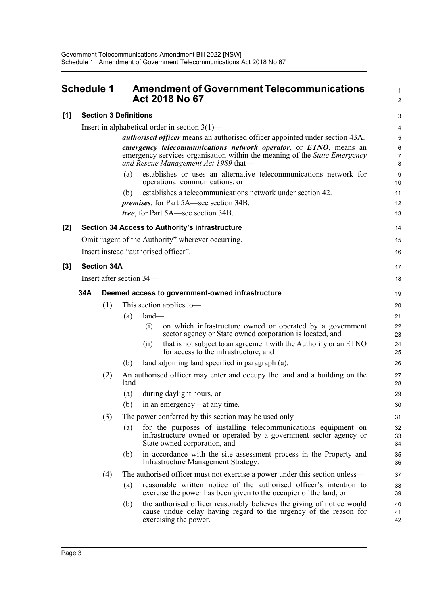Insert in alphabetical order in section 3(1)—

**[1] Section 3 Definitions**

### <span id="page-6-0"></span>**Schedule 1 Amendment of Government Telecommunications Act 2018 No 67**

| 2      |
|--------|
| 3      |
| 4      |
| 5      |
| 6<br>7 |
| 8      |
| 9      |
| ៱៱     |

1

|       |     |                    | <i>authorised officer</i> means an authorised officer appointed under section 43A.                                                                                                    | 5              |
|-------|-----|--------------------|---------------------------------------------------------------------------------------------------------------------------------------------------------------------------------------|----------------|
|       |     |                    | emergency telecommunications network operator, or ETNO, means an<br>emergency services organisation within the meaning of the State Emergency<br>and Rescue Management Act 1989 that- | 6<br>7<br>8    |
|       |     |                    | establishes or uses an alternative telecommunications network for<br>(a)<br>operational communications, or                                                                            | 9<br>10        |
|       |     |                    | establishes a telecommunications network under section 42.<br>(b)                                                                                                                     | 11             |
|       |     |                    | <i>premises</i> , for Part 5A—see section 34B.                                                                                                                                        | 12             |
|       |     |                    | <i>tree</i> , for Part 5A—see section 34B.                                                                                                                                            | 13             |
| $[2]$ |     |                    | Section 34 Access to Authority's infrastructure                                                                                                                                       | 14             |
|       |     |                    | Omit "agent of the Authority" wherever occurring.                                                                                                                                     | 15             |
|       |     |                    | Insert instead "authorised officer".                                                                                                                                                  | 16             |
| $[3]$ |     | <b>Section 34A</b> |                                                                                                                                                                                       | 17             |
|       |     |                    | Insert after section 34—                                                                                                                                                              | 18             |
|       | 34A |                    | Deemed access to government-owned infrastructure                                                                                                                                      | 19             |
|       |     | (1)                | This section applies to-                                                                                                                                                              | 20             |
|       |     |                    | land-<br>(a)                                                                                                                                                                          | 21             |
|       |     |                    | (i)<br>on which infrastructure owned or operated by a government<br>sector agency or State owned corporation is located, and                                                          | 22<br>23       |
|       |     |                    | that is not subject to an agreement with the Authority or an ETNO<br>(i)<br>for access to the infrastructure, and                                                                     | 24<br>25       |
|       |     |                    | land adjoining land specified in paragraph (a).<br>(b)                                                                                                                                | 26             |
|       |     | (2)                | An authorised officer may enter and occupy the land and a building on the<br>$land-$                                                                                                  | 27<br>28       |
|       |     |                    | during daylight hours, or<br>(a)                                                                                                                                                      | 29             |
|       |     |                    | (b)<br>in an emergency—at any time.                                                                                                                                                   | 30             |
|       |     | (3)                | The power conferred by this section may be used only—                                                                                                                                 | 31             |
|       |     |                    | for the purposes of installing telecommunications equipment on<br>(a)<br>infrastructure owned or operated by a government sector agency or<br>State owned corporation, and            | 32<br>33<br>34 |
|       |     |                    | (b) in accordance with the site assessment process in the Property and<br>Infrastructure Management Strategy.                                                                         | 35<br>36       |
|       |     | (4)                | The authorised officer must not exercise a power under this section unless—                                                                                                           | 37             |
|       |     |                    | reasonable written notice of the authorised officer's intention to<br>(a)<br>exercise the power has been given to the occupier of the land, or                                        | 38<br>39       |
|       |     |                    | the authorised officer reasonably believes the giving of notice would<br>(b)<br>cause undue delay having regard to the urgency of the reason for<br>exercising the power.             | 40<br>41<br>42 |
|       |     |                    |                                                                                                                                                                                       |                |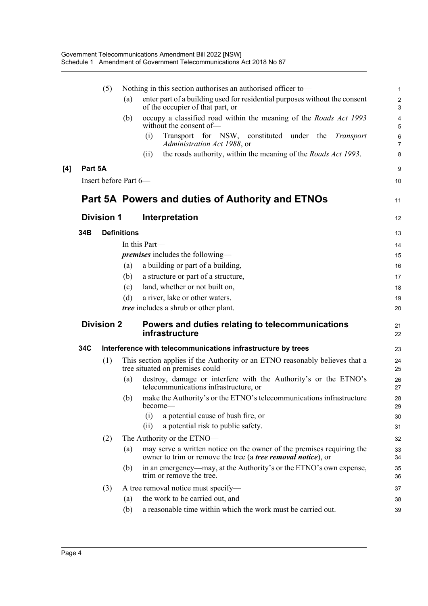|         | (5)                   |                                                              | Nothing in this section authorises an authorised officer to-                                                                                  | $\mathbf{1}$                      |
|---------|-----------------------|--------------------------------------------------------------|-----------------------------------------------------------------------------------------------------------------------------------------------|-----------------------------------|
|         |                       | (a)                                                          | enter part of a building used for residential purposes without the consent<br>of the occupier of that part, or                                | $\overline{2}$<br>3               |
|         |                       | (b)                                                          | occupy a classified road within the meaning of the Roads Act 1993<br>without the consent of-                                                  | $\overline{4}$<br>5               |
|         |                       |                                                              | Transport for NSW, constituted under the<br>(i)<br>Transport<br>Administration Act 1988, or                                                   | $6\phantom{1}6$<br>$\overline{7}$ |
|         |                       |                                                              | the roads authority, within the meaning of the <i>Roads Act 1993</i> .<br>(ii)                                                                | 8                                 |
| Part 5A |                       |                                                              |                                                                                                                                               | 9                                 |
|         | Insert before Part 6- |                                                              |                                                                                                                                               | 10                                |
|         |                       |                                                              | Part 5A Powers and duties of Authority and ETNOs                                                                                              | 11                                |
|         | <b>Division 1</b>     |                                                              | Interpretation                                                                                                                                | 12                                |
| 34B     |                       | <b>Definitions</b>                                           |                                                                                                                                               | 13                                |
|         |                       |                                                              | In this Part-                                                                                                                                 | 14                                |
|         |                       |                                                              | <i>premises</i> includes the following-                                                                                                       | 15                                |
|         |                       | (a)                                                          | a building or part of a building,                                                                                                             | 16                                |
|         |                       | (b)                                                          | a structure or part of a structure,                                                                                                           | 17                                |
|         |                       | (c)                                                          | land, whether or not built on,                                                                                                                | 18                                |
|         |                       | (d)                                                          | a river, lake or other waters.                                                                                                                | 19                                |
|         |                       |                                                              | <i>tree</i> includes a shrub or other plant.                                                                                                  | 20                                |
|         | <b>Division 2</b>     |                                                              | Powers and duties relating to telecommunications<br>infrastructure                                                                            | 21<br>22                          |
| 34C     |                       | Interference with telecommunications infrastructure by trees |                                                                                                                                               | 23                                |
|         | (1)                   |                                                              | This section applies if the Authority or an ETNO reasonably believes that a<br>tree situated on premises could-                               | 24<br>25                          |
|         |                       | (a)                                                          | destroy, damage or interfere with the Authority's or the ETNO's<br>telecommunications infrastructure, or                                      | 26<br>27                          |
|         |                       | (b)                                                          | make the Authority's or the ETNO's telecommunications infrastructure<br>become-                                                               | 28<br>29                          |
|         |                       |                                                              | a potential cause of bush fire, or<br>(i)                                                                                                     | 30                                |
|         |                       |                                                              | (ii)<br>a potential risk to public safety.                                                                                                    | 31                                |
|         | (2)                   |                                                              | The Authority or the ETNO-                                                                                                                    | 32                                |
|         |                       | (a)                                                          | may serve a written notice on the owner of the premises requiring the<br>owner to trim or remove the tree (a <i>tree removal notice</i> ), or | 33<br>34                          |
|         |                       | (b)                                                          | in an emergency—may, at the Authority's or the ETNO's own expense,<br>trim or remove the tree.                                                | 35<br>36                          |
|         | (3)                   |                                                              | A tree removal notice must specify—                                                                                                           | 37                                |
|         |                       |                                                              |                                                                                                                                               |                                   |
|         |                       | (a)                                                          | the work to be carried out, and<br>a reasonable time within which the work must be carried out.                                               | 38                                |

 $[4]$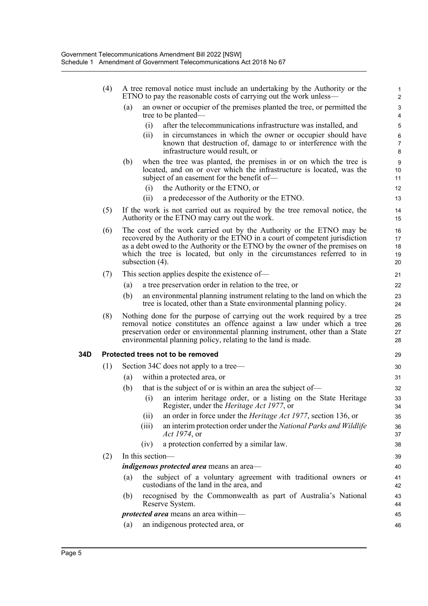|     | (4) | A tree removal notice must include an undertaking by the Authority or the<br>ETNO to pay the reasonable costs of carrying out the work unless—                                                                                                                                                                                   | 1<br>$\overline{c}$        |
|-----|-----|----------------------------------------------------------------------------------------------------------------------------------------------------------------------------------------------------------------------------------------------------------------------------------------------------------------------------------|----------------------------|
|     |     | an owner or occupier of the premises planted the tree, or permitted the<br>(a)<br>tree to be planted—                                                                                                                                                                                                                            | 3<br>4                     |
|     |     | after the telecommunications infrastructure was installed, and<br>(i)                                                                                                                                                                                                                                                            | 5                          |
|     |     | in circumstances in which the owner or occupier should have<br>(i)<br>known that destruction of, damage to or interference with the                                                                                                                                                                                              | 6<br>7                     |
|     |     | infrastructure would result, or                                                                                                                                                                                                                                                                                                  | 8                          |
|     |     | (b)<br>when the tree was planted, the premises in or on which the tree is<br>located, and on or over which the infrastructure is located, was the<br>subject of an easement for the benefit of-                                                                                                                                  | 9<br>10<br>11              |
|     |     | (i)<br>the Authority or the ETNO, or                                                                                                                                                                                                                                                                                             | 12                         |
|     |     | a predecessor of the Authority or the ETNO.<br>(i)                                                                                                                                                                                                                                                                               | 13                         |
|     | (5) | If the work is not carried out as required by the tree removal notice, the<br>Authority or the ETNO may carry out the work.                                                                                                                                                                                                      | 14<br>15                   |
|     | (6) | The cost of the work carried out by the Authority or the ETNO may be<br>recovered by the Authority or the ETNO in a court of competent jurisdiction<br>as a debt owed to the Authority or the ETNO by the owner of the premises on<br>which the tree is located, but only in the circumstances referred to in<br>subsection (4). | 16<br>17<br>18<br>19<br>20 |
|     | (7) | This section applies despite the existence of—                                                                                                                                                                                                                                                                                   | 21                         |
|     |     | a tree preservation order in relation to the tree, or<br>(a)                                                                                                                                                                                                                                                                     | 22                         |
|     |     | (b)<br>an environmental planning instrument relating to the land on which the<br>tree is located, other than a State environmental planning policy.                                                                                                                                                                              | 23<br>24                   |
|     | (8) | Nothing done for the purpose of carrying out the work required by a tree<br>removal notice constitutes an offence against a law under which a tree<br>preservation order or environmental planning instrument, other than a State<br>environmental planning policy, relating to the land is made.                                | 25<br>26<br>27<br>28       |
| 34D |     | Protected trees not to be removed                                                                                                                                                                                                                                                                                                | 29                         |
|     | (1) | Section 34C does not apply to a tree—                                                                                                                                                                                                                                                                                            | 30                         |
|     |     | within a protected area, or<br>(a)                                                                                                                                                                                                                                                                                               | 31                         |
|     |     | that is the subject of or is within an area the subject of—<br>(b)                                                                                                                                                                                                                                                               | 32                         |
|     |     | (i)<br>an interim heritage order, or a listing on the State Heritage<br>Register, under the Heritage Act 1977, or                                                                                                                                                                                                                | 33<br>34                   |
|     |     | an order in force under the <i>Heritage Act 1977</i> , section 136, or<br>(ii)                                                                                                                                                                                                                                                   | 35                         |
|     |     | an interim protection order under the National Parks and Wildlife<br>(iii)<br><i>Act 1974</i> , or                                                                                                                                                                                                                               | 36<br>37                   |
|     |     | a protection conferred by a similar law.<br>(iv)                                                                                                                                                                                                                                                                                 | 38                         |
|     | (2) | In this section-                                                                                                                                                                                                                                                                                                                 | 39                         |
|     |     | <i>indigenous protected area</i> means an area-                                                                                                                                                                                                                                                                                  | 40                         |
|     |     | the subject of a voluntary agreement with traditional owners or<br>(a)<br>custodians of the land in the area, and                                                                                                                                                                                                                | 41<br>42                   |
|     |     | recognised by the Commonwealth as part of Australia's National<br>(b)<br>Reserve System.                                                                                                                                                                                                                                         | 43<br>44                   |
|     |     | <i>protected area</i> means an area within-                                                                                                                                                                                                                                                                                      | 45                         |
|     |     | an indigenous protected area, or<br>(a)                                                                                                                                                                                                                                                                                          | 46                         |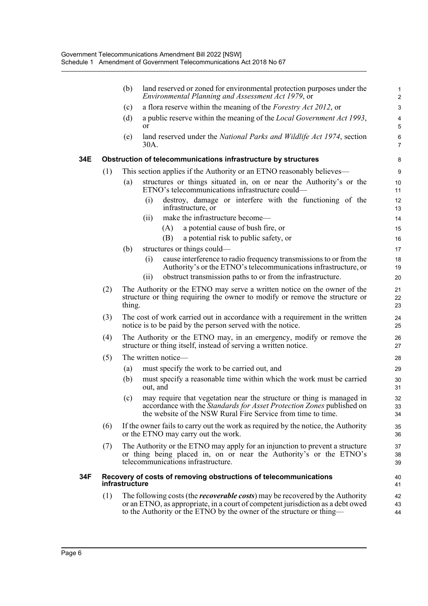|     |     | (b)            | land reserved or zoned for environmental protection purposes under the<br>Environmental Planning and Assessment Act 1979, or                                                                                                                     | $\mathbf{1}$<br>$\overline{2}$ |
|-----|-----|----------------|--------------------------------------------------------------------------------------------------------------------------------------------------------------------------------------------------------------------------------------------------|--------------------------------|
|     |     | (c)            | a flora reserve within the meaning of the Forestry Act 2012, or                                                                                                                                                                                  | 3                              |
|     |     | (d)            | a public reserve within the meaning of the <i>Local Government Act 1993</i> ,<br>or                                                                                                                                                              | $\overline{\mathbf{4}}$<br>5   |
|     |     | (e)            | land reserved under the National Parks and Wildlife Act 1974, section<br>30A.                                                                                                                                                                    | $\,6$<br>$\overline{7}$        |
| 34E |     |                | Obstruction of telecommunications infrastructure by structures                                                                                                                                                                                   | 8                              |
|     | (1) |                | This section applies if the Authority or an ETNO reasonably believes—                                                                                                                                                                            | 9                              |
|     |     | (a)            | structures or things situated in, on or near the Authority's or the<br>ETNO's telecommunications infrastructure could—                                                                                                                           | 10<br>11                       |
|     |     |                | destroy, damage or interfere with the functioning of the<br>(i)<br>infrastructure, or                                                                                                                                                            | 12<br>13                       |
|     |     |                | make the infrastructure become—<br>(ii)                                                                                                                                                                                                          | 14                             |
|     |     |                | (A)<br>a potential cause of bush fire, or                                                                                                                                                                                                        | 15                             |
|     |     |                | (B)<br>a potential risk to public safety, or                                                                                                                                                                                                     | 16                             |
|     |     | (b)            | structures or things could—                                                                                                                                                                                                                      | 17                             |
|     |     |                | cause interference to radio frequency transmissions to or from the<br>(i)<br>Authority's or the ETNO's telecommunications infrastructure, or                                                                                                     | 18<br>19                       |
|     |     |                | obstruct transmission paths to or from the infrastructure.<br>(ii)                                                                                                                                                                               | 20                             |
|     | (2) | thing.         | The Authority or the ETNO may serve a written notice on the owner of the<br>structure or thing requiring the owner to modify or remove the structure or                                                                                          | 21<br>22<br>23                 |
|     | (3) |                | The cost of work carried out in accordance with a requirement in the written<br>notice is to be paid by the person served with the notice.                                                                                                       | 24<br>25                       |
|     | (4) |                | The Authority or the ETNO may, in an emergency, modify or remove the<br>structure or thing itself, instead of serving a written notice.                                                                                                          | 26<br>27                       |
|     | (5) |                | The written notice-                                                                                                                                                                                                                              | 28                             |
|     |     | (a)            | must specify the work to be carried out, and                                                                                                                                                                                                     | 29                             |
|     |     | (b)            | must specify a reasonable time within which the work must be carried<br>out, and                                                                                                                                                                 | 30<br>31                       |
|     |     | (c)            | may require that vegetation near the structure or thing is managed in<br>accordance with the Standards for Asset Protection Zones published on<br>the website of the NSW Rural Fire Service from time to time.                                   | 32<br>33<br>34                 |
|     | (6) |                | If the owner fails to carry out the work as required by the notice, the Authority<br>or the ETNO may carry out the work.                                                                                                                         | 35<br>36                       |
|     | (7) |                | The Authority or the ETNO may apply for an injunction to prevent a structure<br>or thing being placed in, on or near the Authority's or the ETNO's<br>telecommunications infrastructure.                                                         | 37<br>38<br>39                 |
| 34F |     | infrastructure | Recovery of costs of removing obstructions of telecommunications                                                                                                                                                                                 | 40<br>41                       |
|     | (1) |                | The following costs (the <i>recoverable costs</i> ) may be recovered by the Authority<br>or an ETNO, as appropriate, in a court of competent jurisdiction as a debt owed<br>to the Authority or the ETNO by the owner of the structure or thing— | 42<br>43<br>44                 |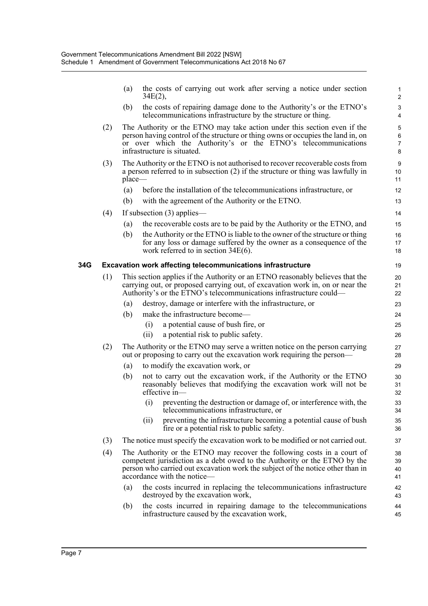|     |     | (a)       | the costs of carrying out work after serving a notice under section<br>34E(2),                                                                                                                                                                                        | 1<br>$\overline{2}$                 |
|-----|-----|-----------|-----------------------------------------------------------------------------------------------------------------------------------------------------------------------------------------------------------------------------------------------------------------------|-------------------------------------|
|     |     | (b)       | the costs of repairing damage done to the Authority's or the ETNO's<br>telecommunications infrastructure by the structure or thing.                                                                                                                                   | $\ensuremath{\mathsf{3}}$<br>4      |
|     | (2) |           | The Authority or the ETNO may take action under this section even if the<br>person having control of the structure or thing owns or occupies the land in, on<br>or over which the Authority's or the ETNO's telecommunications<br>infrastructure is situated.         | 5<br>$\,6\,$<br>$\overline{7}$<br>8 |
|     | (3) | $place$ — | The Authority or the ETNO is not authorised to recover recoverable costs from<br>a person referred to in subsection $(2)$ if the structure or thing was lawfully in                                                                                                   | 9<br>10<br>11                       |
|     |     | (a)       | before the installation of the telecommunications infrastructure, or                                                                                                                                                                                                  | 12                                  |
|     |     | (b)       | with the agreement of the Authority or the ETNO.                                                                                                                                                                                                                      | 13                                  |
|     | (4) |           | If subsection $(3)$ applies—                                                                                                                                                                                                                                          | 14                                  |
|     |     | (a)       | the recoverable costs are to be paid by the Authority or the ETNO, and                                                                                                                                                                                                | 15                                  |
|     |     | (b)       | the Authority or the ETNO is liable to the owner of the structure or thing                                                                                                                                                                                            | 16                                  |
|     |     |           | for any loss or damage suffered by the owner as a consequence of the<br>work referred to in section $34E(6)$ .                                                                                                                                                        | 17<br>18                            |
|     |     |           |                                                                                                                                                                                                                                                                       |                                     |
| 34G |     |           | <b>Excavation work affecting telecommunications infrastructure</b>                                                                                                                                                                                                    | 19                                  |
|     | (1) |           | This section applies if the Authority or an ETNO reasonably believes that the<br>carrying out, or proposed carrying out, of excavation work in, on or near the<br>Authority's or the ETNO's telecommunications infrastructure could—                                  | 20<br>21<br>22                      |
|     |     | (a)       | destroy, damage or interfere with the infrastructure, or                                                                                                                                                                                                              | 23                                  |
|     |     | (b)       | make the infrastructure become—                                                                                                                                                                                                                                       | 24                                  |
|     |     |           | a potential cause of bush fire, or<br>(i)                                                                                                                                                                                                                             | 25                                  |
|     |     |           | a potential risk to public safety.<br>(ii)                                                                                                                                                                                                                            | 26                                  |
|     | (2) |           | The Authority or the ETNO may serve a written notice on the person carrying<br>out or proposing to carry out the excavation work requiring the person—                                                                                                                | 27<br>28                            |
|     |     | (a)       | to modify the excavation work, or                                                                                                                                                                                                                                     | 29                                  |
|     |     | (b)       | not to carry out the excavation work, if the Authority or the ETNO<br>reasonably believes that modifying the excavation work will not be<br>effective in-                                                                                                             | 30<br>31<br>32                      |
|     |     |           | (i) preventing the destruction or damage of, or interference with, the<br>telecommunications infrastructure, or                                                                                                                                                       | 33<br>34                            |
|     |     |           | preventing the infrastructure becoming a potential cause of bush<br>(ii)<br>fire or a potential risk to public safety.                                                                                                                                                | 35<br>36                            |
|     | (3) |           | The notice must specify the excavation work to be modified or not carried out.                                                                                                                                                                                        | 37                                  |
|     | (4) |           | The Authority or the ETNO may recover the following costs in a court of<br>competent jurisdiction as a debt owed to the Authority or the ETNO by the<br>person who carried out excavation work the subject of the notice other than in<br>accordance with the notice— | 38<br>39<br>40<br>41                |
|     |     | (a)       | the costs incurred in replacing the telecommunications infrastructure<br>destroyed by the excavation work,                                                                                                                                                            | 42<br>43                            |
|     |     | (b)       | the costs incurred in repairing damage to the telecommunications<br>infrastructure caused by the excavation work,                                                                                                                                                     | 44<br>45                            |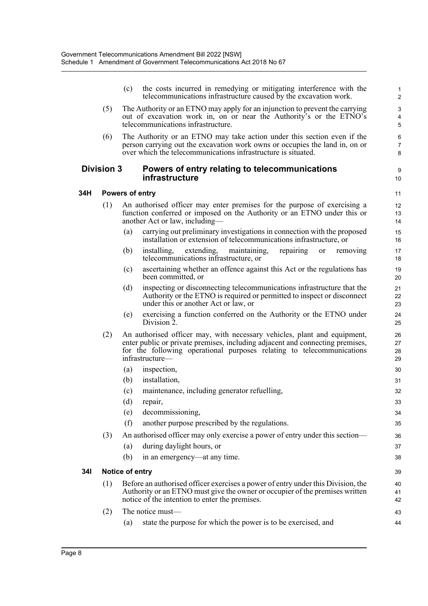|            |                   | (c)             | the costs incurred in remedying or mitigating interference with the<br>telecommunications infrastructure caused by the excavation work.                                                                                                               | 1<br>$\overline{c}$  |
|------------|-------------------|-----------------|-------------------------------------------------------------------------------------------------------------------------------------------------------------------------------------------------------------------------------------------------------|----------------------|
|            | (5)               |                 | The Authority or an ETNO may apply for an injunction to prevent the carrying<br>out of excavation work in, on or near the Authority's or the ETNO's<br>telecommunications infrastructure.                                                             | 3<br>4<br>5          |
|            | (6)               |                 | The Authority or an ETNO may take action under this section even if the<br>person carrying out the excavation work owns or occupies the land in, on or<br>over which the telecommunications infrastructure is situated.                               | 6<br>7<br>8          |
|            | <b>Division 3</b> |                 | Powers of entry relating to telecommunications<br><b>infrastructure</b>                                                                                                                                                                               | 9<br>10              |
| 34H        |                   | Powers of entry |                                                                                                                                                                                                                                                       | 11                   |
|            | (1)               |                 | An authorised officer may enter premises for the purpose of exercising a<br>function conferred or imposed on the Authority or an ETNO under this or<br>another Act or law, including—                                                                 | 12<br>13<br>14       |
|            |                   | (a)             | carrying out preliminary investigations in connection with the proposed<br>installation or extension of telecommunications infrastructure, or                                                                                                         | 15<br>16             |
|            |                   | (b)             | maintaining,<br>repairing<br>installing,<br>extending,<br>removing<br>or<br>telecommunications infrastructure, or                                                                                                                                     | 17<br>18             |
|            |                   | (c)             | ascertaining whether an offence against this Act or the regulations has<br>been committed, or                                                                                                                                                         | 19<br>20             |
|            |                   | (d)             | inspecting or disconnecting telecommunications infrastructure that the<br>Authority or the ETNO is required or permitted to inspect or disconnect<br>under this or another Act or law, or                                                             | 21<br>22<br>23       |
|            |                   | (e)             | exercising a function conferred on the Authority or the ETNO under<br>Division 2.                                                                                                                                                                     | 24<br>25             |
|            | (2)               |                 | An authorised officer may, with necessary vehicles, plant and equipment,<br>enter public or private premises, including adjacent and connecting premises,<br>for the following operational purposes relating to telecommunications<br>infrastructure- | 26<br>27<br>28<br>29 |
|            |                   | (a)             | inspection,                                                                                                                                                                                                                                           | 30                   |
|            |                   | (b)             | installation,                                                                                                                                                                                                                                         | 31                   |
|            |                   | (c)             | maintenance, including generator refuelling,                                                                                                                                                                                                          | 32                   |
|            |                   | (d)             | repair,                                                                                                                                                                                                                                               | 33                   |
|            |                   | (e)             | decommissioning,                                                                                                                                                                                                                                      | 34                   |
|            |                   | (f)             | another purpose prescribed by the regulations.                                                                                                                                                                                                        | 35                   |
|            | (3)               |                 | An authorised officer may only exercise a power of entry under this section—                                                                                                                                                                          | 36                   |
|            |                   | (a)             | during daylight hours, or                                                                                                                                                                                                                             | 37                   |
|            |                   | (b)             | in an emergency—at any time.                                                                                                                                                                                                                          | 38                   |
| <b>341</b> |                   | Notice of entry |                                                                                                                                                                                                                                                       | 39                   |
|            | (1)               |                 | Before an authorised officer exercises a power of entry under this Division, the<br>Authority or an ETNO must give the owner or occupier of the premises written<br>notice of the intention to enter the premises.                                    | 40<br>41<br>42       |
|            | (2)               |                 | The notice must—                                                                                                                                                                                                                                      | 43                   |
|            |                   | (a)             | state the purpose for which the power is to be exercised, and                                                                                                                                                                                         | 44                   |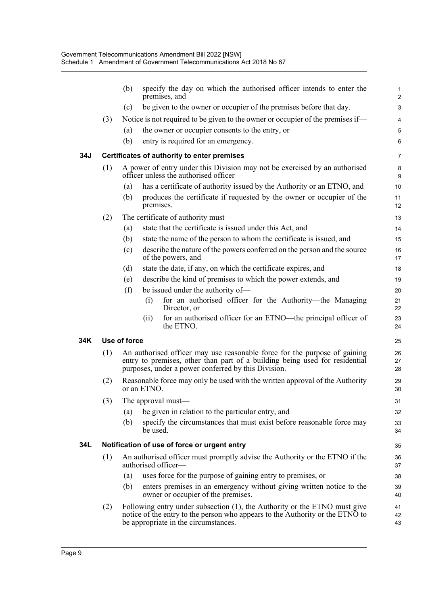|     |     | (b)          | specify the day on which the authorised officer intends to enter the<br>premises, and                                                                                                                           | $\mathbf{1}$<br>$\overline{2}$ |
|-----|-----|--------------|-----------------------------------------------------------------------------------------------------------------------------------------------------------------------------------------------------------------|--------------------------------|
|     |     | (c)          | be given to the owner or occupier of the premises before that day.                                                                                                                                              | 3                              |
|     | (3) |              | Notice is not required to be given to the owner or occupier of the premises if—                                                                                                                                 | $\overline{4}$                 |
|     |     | (a)          | the owner or occupier consents to the entry, or                                                                                                                                                                 | 5                              |
|     |     | (b)          | entry is required for an emergency.                                                                                                                                                                             | 6                              |
| 34J |     |              | Certificates of authority to enter premises                                                                                                                                                                     | $\overline{7}$                 |
|     | (1) |              | A power of entry under this Division may not be exercised by an authorised<br>officer unless the authorised officer—                                                                                            | 8<br>9                         |
|     |     | (a)          | has a certificate of authority issued by the Authority or an ETNO, and                                                                                                                                          | 10                             |
|     |     | (b)          | produces the certificate if requested by the owner or occupier of the<br>premises.                                                                                                                              | 11<br>12                       |
|     | (2) |              | The certificate of authority must—                                                                                                                                                                              | 13                             |
|     |     | (a)          | state that the certificate is issued under this Act, and                                                                                                                                                        | 14                             |
|     |     | (b)          | state the name of the person to whom the certificate is issued, and                                                                                                                                             | 15                             |
|     |     | (c)          | describe the nature of the powers conferred on the person and the source<br>of the powers, and                                                                                                                  | 16<br>17                       |
|     |     | (d)          | state the date, if any, on which the certificate expires, and                                                                                                                                                   | 18                             |
|     |     | (e)          | describe the kind of premises to which the power extends, and                                                                                                                                                   | 19                             |
|     |     | (f)          | be issued under the authority of-                                                                                                                                                                               | 20                             |
|     |     |              | for an authorised officer for the Authority-the Managing<br>(i)<br>Director, or                                                                                                                                 | 21<br>22                       |
|     |     |              | for an authorised officer for an ETNO—the principal officer of<br>(i)<br>the ETNO.                                                                                                                              | 23<br>24                       |
| 34K |     | Use of force |                                                                                                                                                                                                                 | 25                             |
|     | (1) |              | An authorised officer may use reasonable force for the purpose of gaining<br>entry to premises, other than part of a building being used for residential<br>purposes, under a power conferred by this Division. | 26<br>27<br>28                 |
|     | (2) |              | Reasonable force may only be used with the written approval of the Authority<br>or an ETNO.                                                                                                                     | 29<br>30                       |
|     | (3) |              | The approval must—                                                                                                                                                                                              | 31                             |
|     |     | (a)          | be given in relation to the particular entry, and                                                                                                                                                               | 32                             |
|     |     | (b)          | specify the circumstances that must exist before reasonable force may<br>be used.                                                                                                                               | 33<br>34                       |
| 34L |     |              | Notification of use of force or urgent entry                                                                                                                                                                    | 35                             |
|     | (1) |              | An authorised officer must promptly advise the Authority or the ETNO if the<br>authorised officer-                                                                                                              | 36<br>37                       |
|     |     | (a)          | uses force for the purpose of gaining entry to premises, or                                                                                                                                                     | 38                             |
|     |     | (b)          | enters premises in an emergency without giving written notice to the<br>owner or occupier of the premises.                                                                                                      | 39<br>40                       |
|     | (2) |              | Following entry under subsection (1), the Authority or the ETNO must give<br>notice of the entry to the person who appears to the Authority or the ETNO to<br>be appropriate in the circumstances.              | 41<br>42<br>43                 |
|     |     |              |                                                                                                                                                                                                                 |                                |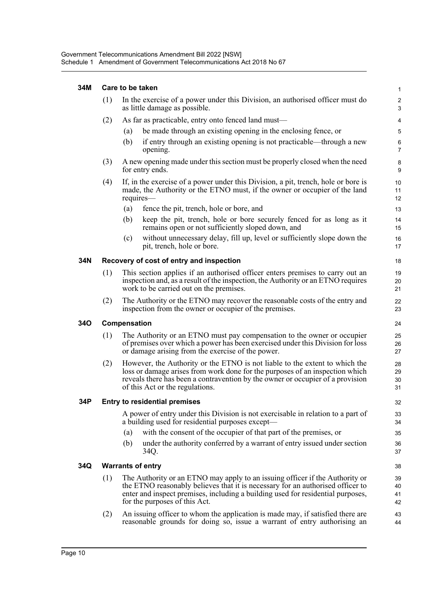#### **34M Care to be taken**

|     | (1)                                      | In the exercise of a power under this Division, an authorised officer must do<br>as little damage as possible.                                                                                                                                                                     | $\overline{2}$<br>3       |  |  |  |
|-----|------------------------------------------|------------------------------------------------------------------------------------------------------------------------------------------------------------------------------------------------------------------------------------------------------------------------------------|---------------------------|--|--|--|
|     | (2)                                      | As far as practicable, entry onto fenced land must—                                                                                                                                                                                                                                | 4                         |  |  |  |
|     |                                          | be made through an existing opening in the enclosing fence, or<br>(a)                                                                                                                                                                                                              | 5                         |  |  |  |
|     |                                          | if entry through an existing opening is not practicable—through a new<br>(b)<br>opening.                                                                                                                                                                                           | $\,6\,$<br>$\overline{7}$ |  |  |  |
|     | (3)                                      | A new opening made under this section must be properly closed when the need<br>for entry ends.                                                                                                                                                                                     | 8<br>9                    |  |  |  |
|     | (4)                                      | If, in the exercise of a power under this Division, a pit, trench, hole or bore is<br>made, the Authority or the ETNO must, if the owner or occupier of the land<br>requires—                                                                                                      | 10<br>11<br>12            |  |  |  |
|     |                                          | fence the pit, trench, hole or bore, and<br>(a)                                                                                                                                                                                                                                    | 13                        |  |  |  |
|     |                                          | (b)<br>keep the pit, trench, hole or bore securely fenced for as long as it<br>remains open or not sufficiently sloped down, and                                                                                                                                                   | 14<br>15                  |  |  |  |
|     |                                          | without unnecessary delay, fill up, level or sufficiently slope down the<br>(c)<br>pit, trench, hole or bore.                                                                                                                                                                      | 16<br>17                  |  |  |  |
| 34N | Recovery of cost of entry and inspection |                                                                                                                                                                                                                                                                                    |                           |  |  |  |
|     | (1)                                      | This section applies if an authorised officer enters premises to carry out an<br>inspection and, as a result of the inspection, the Authority or an ETNO requires<br>work to be carried out on the premises.                                                                       | 19<br>20<br>21            |  |  |  |
|     | (2)                                      | The Authority or the ETNO may recover the reasonable costs of the entry and<br>inspection from the owner or occupier of the premises.                                                                                                                                              | 22<br>23                  |  |  |  |
| 34O | Compensation                             |                                                                                                                                                                                                                                                                                    |                           |  |  |  |
|     | (1)                                      | The Authority or an ETNO must pay compensation to the owner or occupier<br>of premises over which a power has been exercised under this Division for loss<br>or damage arising from the exercise of the power.                                                                     | 25<br>26<br>27            |  |  |  |
|     | (2)                                      | However, the Authority or the ETNO is not liable to the extent to which the<br>loss or damage arises from work done for the purposes of an inspection which<br>reveals there has been a contravention by the owner or occupier of a provision<br>of this Act or the regulations.   | 28<br>29<br>30<br>31      |  |  |  |
| 34P |                                          | <b>Entry to residential premises</b>                                                                                                                                                                                                                                               | 32                        |  |  |  |
|     |                                          | A power of entry under this Division is not exercisable in relation to a part of<br>a building used for residential purposes except—                                                                                                                                               | 33<br>34                  |  |  |  |
|     |                                          | with the consent of the occupier of that part of the premises, or<br>(a)                                                                                                                                                                                                           | 35                        |  |  |  |
|     |                                          | under the authority conferred by a warrant of entry issued under section<br>(b)<br>34Q.                                                                                                                                                                                            | 36<br>37                  |  |  |  |
| 34Q |                                          | <b>Warrants of entry</b>                                                                                                                                                                                                                                                           | 38                        |  |  |  |
|     | (1)                                      | The Authority or an ETNO may apply to an issuing officer if the Authority or<br>the ETNO reasonably believes that it is necessary for an authorised officer to<br>enter and inspect premises, including a building used for residential purposes,<br>for the purposes of this Act. | 39<br>40<br>41<br>42      |  |  |  |
|     | (2)                                      | An issuing officer to whom the application is made may, if satisfied there are<br>reasonable grounds for doing so, issue a warrant of entry authorising an                                                                                                                         | 43<br>44                  |  |  |  |

1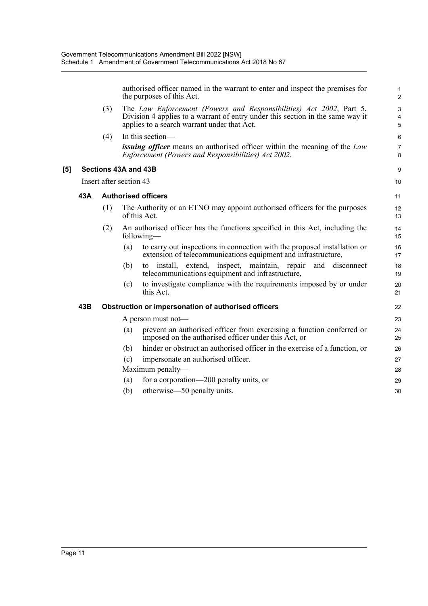|     |     |     | the purposes of this Act.                           | authorised officer named in the warrant to enter and inspect the premises for                                                                         | $\mathbf{1}$<br>$\overline{2}$ |
|-----|-----|-----|-----------------------------------------------------|-------------------------------------------------------------------------------------------------------------------------------------------------------|--------------------------------|
|     |     | (3) | applies to a search warrant under that Act.         | The Law Enforcement (Powers and Responsibilities) Act 2002, Part 5,<br>Division 4 applies to a warrant of entry under this section in the same way it | $\mathbf{3}$<br>4<br>5         |
|     |     | (4) | In this section-                                    |                                                                                                                                                       | 6                              |
|     |     |     |                                                     | <i>issuing officer</i> means an authorised officer within the meaning of the <i>Law</i><br>Enforcement (Powers and Responsibilities) Act 2002.        | $\overline{7}$<br>8            |
| [5] |     |     | Sections 43A and 43B                                |                                                                                                                                                       | 9                              |
|     |     |     | Insert after section 43-                            |                                                                                                                                                       | 10                             |
|     | 43A |     | <b>Authorised officers</b>                          |                                                                                                                                                       | 11                             |
|     |     | (1) | of this Act.                                        | The Authority or an ETNO may appoint authorised officers for the purposes                                                                             | 12<br>13                       |
|     |     | (2) | following—                                          | An authorised officer has the functions specified in this Act, including the                                                                          | 14<br>15                       |
|     |     |     | (a)                                                 | to carry out inspections in connection with the proposed installation or<br>extension of telecommunications equipment and infrastructure,             | 16<br>17                       |
|     |     |     | (b)<br>to                                           | install, extend, inspect, maintain, repair<br>and disconnect<br>telecommunications equipment and infrastructure,                                      | 18<br>19                       |
|     |     |     | (c)<br>this Act.                                    | to investigate compliance with the requirements imposed by or under                                                                                   | 20<br>21                       |
|     | 43B |     | Obstruction or impersonation of authorised officers |                                                                                                                                                       | 22                             |
|     |     |     | A person must not-                                  |                                                                                                                                                       | 23                             |
|     |     |     | (a)                                                 | prevent an authorised officer from exercising a function conferred or<br>imposed on the authorised officer under this Act, or                         | 24<br>25                       |
|     |     |     | (b)                                                 | hinder or obstruct an authorised officer in the exercise of a function, or                                                                            | 26                             |
|     |     |     | impersonate an authorised officer.<br>(c)           |                                                                                                                                                       | 27                             |
|     |     |     | Maximum penalty—                                    |                                                                                                                                                       | 28                             |
|     |     |     | for a corporation—200 penalty units, or<br>(a)      |                                                                                                                                                       | 29                             |
|     |     |     | otherwise—50 penalty units.<br>(b)                  |                                                                                                                                                       | 30                             |